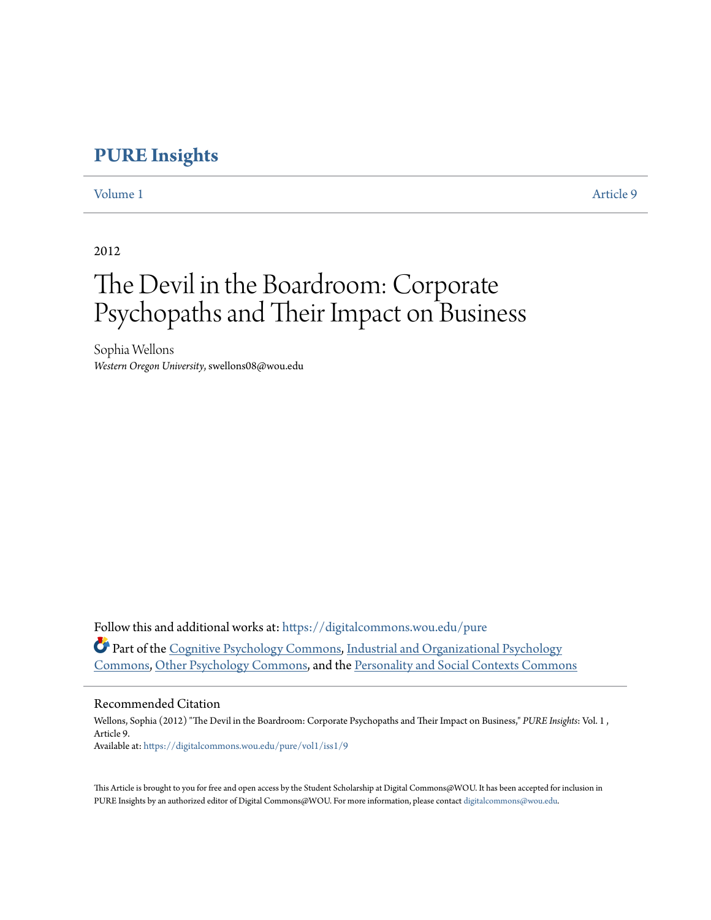## **[PURE Insights](https://digitalcommons.wou.edu/pure?utm_source=digitalcommons.wou.edu%2Fpure%2Fvol1%2Fiss1%2F9&utm_medium=PDF&utm_campaign=PDFCoverPages)**

[Volume 1](https://digitalcommons.wou.edu/pure/vol1?utm_source=digitalcommons.wou.edu%2Fpure%2Fvol1%2Fiss1%2F9&utm_medium=PDF&utm_campaign=PDFCoverPages) [Article 9](https://digitalcommons.wou.edu/pure/vol1/iss1/9?utm_source=digitalcommons.wou.edu%2Fpure%2Fvol1%2Fiss1%2F9&utm_medium=PDF&utm_campaign=PDFCoverPages)

2012

# The Devil in the Boardroom: Corporate Psychopaths and Their Impact on Business

Sophia Wellons *Western Oregon University*, swellons08@wou.edu

Follow this and additional works at: [https://digitalcommons.wou.edu/pure](https://digitalcommons.wou.edu/pure?utm_source=digitalcommons.wou.edu%2Fpure%2Fvol1%2Fiss1%2F9&utm_medium=PDF&utm_campaign=PDFCoverPages) Part of the [Cognitive Psychology Commons,](http://network.bepress.com/hgg/discipline/408?utm_source=digitalcommons.wou.edu%2Fpure%2Fvol1%2Fiss1%2F9&utm_medium=PDF&utm_campaign=PDFCoverPages) [Industrial and Organizational Psychology](http://network.bepress.com/hgg/discipline/412?utm_source=digitalcommons.wou.edu%2Fpure%2Fvol1%2Fiss1%2F9&utm_medium=PDF&utm_campaign=PDFCoverPages) [Commons,](http://network.bepress.com/hgg/discipline/412?utm_source=digitalcommons.wou.edu%2Fpure%2Fvol1%2Fiss1%2F9&utm_medium=PDF&utm_campaign=PDFCoverPages) [Other Psychology Commons,](http://network.bepress.com/hgg/discipline/415?utm_source=digitalcommons.wou.edu%2Fpure%2Fvol1%2Fiss1%2F9&utm_medium=PDF&utm_campaign=PDFCoverPages) and the [Personality and Social Contexts Commons](http://network.bepress.com/hgg/discipline/413?utm_source=digitalcommons.wou.edu%2Fpure%2Fvol1%2Fiss1%2F9&utm_medium=PDF&utm_campaign=PDFCoverPages)

#### Recommended Citation

Wellons, Sophia (2012) "The Devil in the Boardroom: Corporate Psychopaths and Their Impact on Business," *PURE Insights*: Vol. 1 , Article 9. Available at: [https://digitalcommons.wou.edu/pure/vol1/iss1/9](https://digitalcommons.wou.edu/pure/vol1/iss1/9?utm_source=digitalcommons.wou.edu%2Fpure%2Fvol1%2Fiss1%2F9&utm_medium=PDF&utm_campaign=PDFCoverPages)

This Article is brought to you for free and open access by the Student Scholarship at Digital Commons@WOU. It has been accepted for inclusion in PURE Insights by an authorized editor of Digital Commons@WOU. For more information, please contact [digitalcommons@wou.edu](mailto:digitalcommons@wou.edu).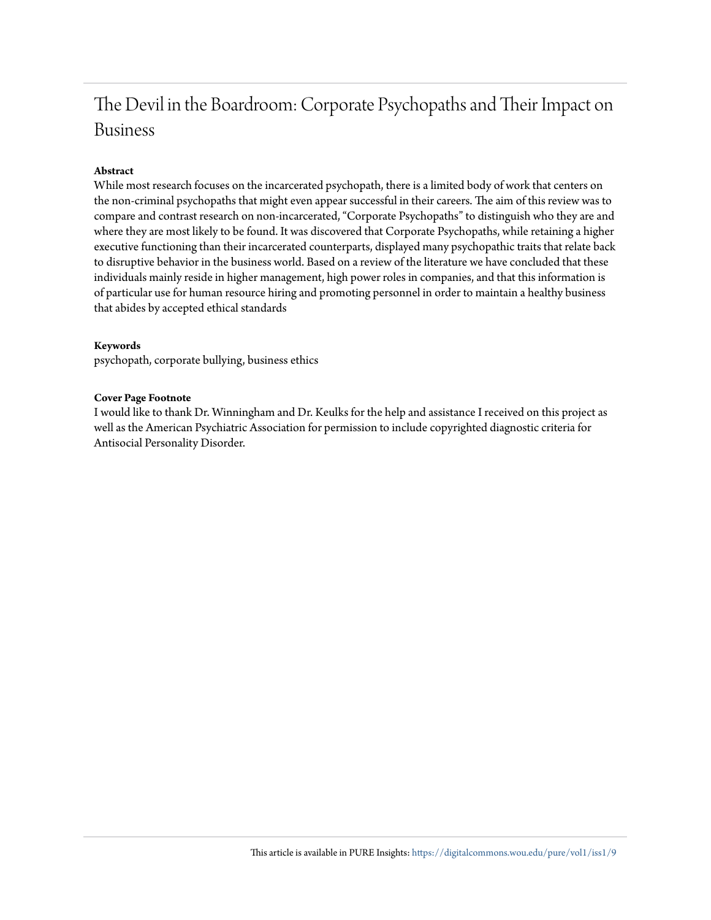# The Devil in the Boardroom: Corporate Psychopaths and Their Impact on Business

#### **Abstract**

While most research focuses on the incarcerated psychopath, there is a limited body of work that centers on the non-criminal psychopaths that might even appear successful in their careers. The aim of this review was to compare and contrast research on non-incarcerated, "Corporate Psychopaths" to distinguish who they are and where they are most likely to be found. It was discovered that Corporate Psychopaths, while retaining a higher executive functioning than their incarcerated counterparts, displayed many psychopathic traits that relate back to disruptive behavior in the business world. Based on a review of the literature we have concluded that these individuals mainly reside in higher management, high power roles in companies, and that this information is of particular use for human resource hiring and promoting personnel in order to maintain a healthy business that abides by accepted ethical standards

#### **Keywords**

psychopath, corporate bullying, business ethics

#### **Cover Page Footnote**

I would like to thank Dr. Winningham and Dr. Keulks for the help and assistance I received on this project as well as the American Psychiatric Association for permission to include copyrighted diagnostic criteria for Antisocial Personality Disorder.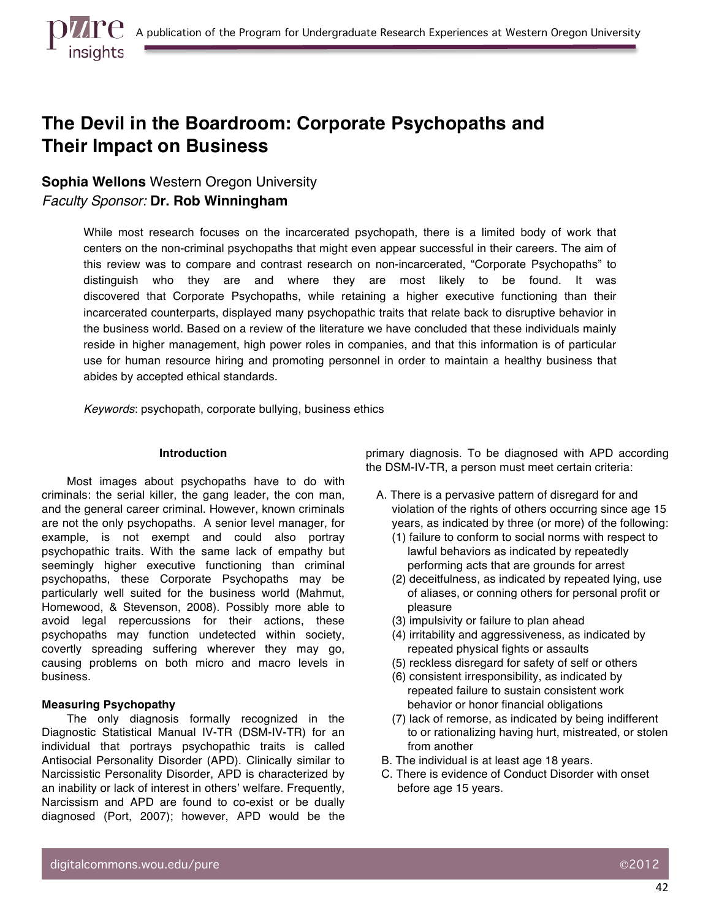# **The Devil in the Boardroom: Corporate Psychopaths and Their Impact on Business**

### **Sophia Wellons** Western Oregon University

*Faculty Sponsor:* **Dr. Rob Winningham**

While most research focuses on the incarcerated psychopath, there is a limited body of work that centers on the non-criminal psychopaths that might even appear successful in their careers. The aim of this review was to compare and contrast research on non-incarcerated, "Corporate Psychopaths" to distinguish who they are and where they are most likely to be found. It was discovered that Corporate Psychopaths, while retaining a higher executive functioning than their incarcerated counterparts, displayed many psychopathic traits that relate back to disruptive behavior in the business world. Based on a review of the literature we have concluded that these individuals mainly reside in higher management, high power roles in companies, and that this information is of particular use for human resource hiring and promoting personnel in order to maintain a healthy business that abides by accepted ethical standards.

*Keywords*: psychopath, corporate bullying, business ethics

#### **Introduction**

Most images about psychopaths have to do with criminals: the serial killer, the gang leader, the con man, and the general career criminal. However, known criminals are not the only psychopaths. A senior level manager, for example, is not exempt and could also portray psychopathic traits. With the same lack of empathy but seemingly higher executive functioning than criminal psychopaths, these Corporate Psychopaths may be particularly well suited for the business world (Mahmut, Homewood, & Stevenson, 2008). Possibly more able to avoid legal repercussions for their actions, these psychopaths may function undetected within society, covertly spreading suffering wherever they may go, causing problems on both micro and macro levels in business.

#### **Measuring Psychopathy**

The only diagnosis formally recognized in the Diagnostic Statistical Manual IV-TR (DSM-IV-TR) for an individual that portrays psychopathic traits is called Antisocial Personality Disorder (APD). Clinically similar to Narcissistic Personality Disorder, APD is characterized by an inability or lack of interest in others' welfare. Frequently, Narcissism and APD are found to co-exist or be dually diagnosed (Port, 2007); however, APD would be the primary diagnosis. To be diagnosed with APD according the DSM-IV-TR, a person must meet certain criteria:

- A. There is a pervasive pattern of disregard for and violation of the rights of others occurring since age 15 years, as indicated by three (or more) of the following:
	- (1) failure to conform to social norms with respect to lawful behaviors as indicated by repeatedly performing acts that are grounds for arrest
	- (2) deceitfulness, as indicated by repeated lying, use of aliases, or conning others for personal profit or pleasure
	- (3) impulsivity or failure to plan ahead
	- (4) irritability and aggressiveness, as indicated by repeated physical fights or assaults
	- (5) reckless disregard for safety of self or others
	- (6) consistent irresponsibility, as indicated by repeated failure to sustain consistent work behavior or honor financial obligations
	- (7) lack of remorse, as indicated by being indifferent to or rationalizing having hurt, mistreated, or stolen from another
- B. The individual is at least age 18 years.
- C. There is evidence of Conduct Disorder with onset before age 15 years.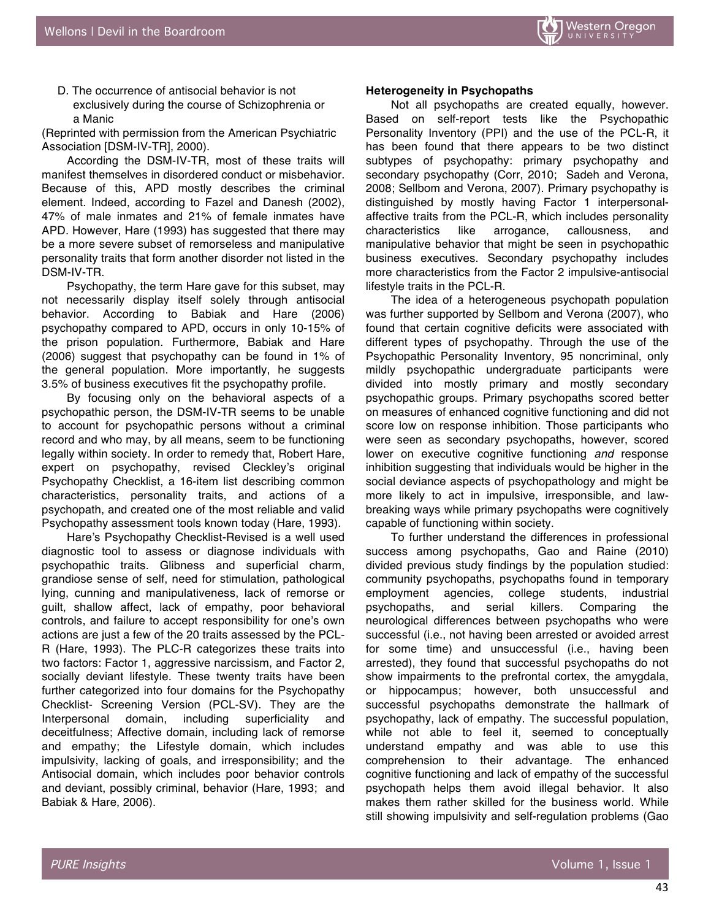D. The occurrence of antisocial behavior is not exclusively during the course of Schizophrenia or a Manic

(Reprinted with permission from the American Psychiatric Association [DSM-IV-TR], 2000).

According the DSM-IV-TR, most of these traits will manifest themselves in disordered conduct or misbehavior. Because of this, APD mostly describes the criminal element. Indeed, according to Fazel and Danesh (2002), 47% of male inmates and 21% of female inmates have APD. However, Hare (1993) has suggested that there may be a more severe subset of remorseless and manipulative personality traits that form another disorder not listed in the DSM-IV-TR.

Psychopathy, the term Hare gave for this subset, may not necessarily display itself solely through antisocial behavior. According to Babiak and Hare (2006) psychopathy compared to APD, occurs in only 10-15% of the prison population. Furthermore, Babiak and Hare (2006) suggest that psychopathy can be found in 1% of the general population. More importantly, he suggests 3.5% of business executives fit the psychopathy profile.

By focusing only on the behavioral aspects of a psychopathic person, the DSM-IV-TR seems to be unable to account for psychopathic persons without a criminal record and who may, by all means, seem to be functioning legally within society. In order to remedy that, Robert Hare, expert on psychopathy, revised Cleckley's original Psychopathy Checklist, a 16-item list describing common characteristics, personality traits, and actions of a psychopath, and created one of the most reliable and valid Psychopathy assessment tools known today (Hare, 1993).

Hare's Psychopathy Checklist-Revised is a well used diagnostic tool to assess or diagnose individuals with psychopathic traits. Glibness and superficial charm, grandiose sense of self, need for stimulation, pathological lying, cunning and manipulativeness, lack of remorse or guilt, shallow affect, lack of empathy, poor behavioral controls, and failure to accept responsibility for one's own actions are just a few of the 20 traits assessed by the PCL-R (Hare, 1993). The PLC-R categorizes these traits into two factors: Factor 1, aggressive narcissism, and Factor 2, socially deviant lifestyle. These twenty traits have been further categorized into four domains for the Psychopathy Checklist- Screening Version (PCL-SV). They are the Interpersonal domain, including superficiality and deceitfulness; Affective domain, including lack of remorse and empathy; the Lifestyle domain, which includes impulsivity, lacking of goals, and irresponsibility; and the Antisocial domain, which includes poor behavior controls and deviant, possibly criminal, behavior (Hare, 1993; and Babiak & Hare, 2006).

#### **Heterogeneity in Psychopaths**

Not all psychopaths are created equally, however. Based on self-report tests like the Psychopathic Personality Inventory (PPI) and the use of the PCL-R, it has been found that there appears to be two distinct subtypes of psychopathy: primary psychopathy and secondary psychopathy (Corr, 2010; Sadeh and Verona, 2008; Sellbom and Verona, 2007). Primary psychopathy is distinguished by mostly having Factor 1 interpersonalaffective traits from the PCL-R, which includes personality characteristics like arrogance, callousness, and manipulative behavior that might be seen in psychopathic business executives. Secondary psychopathy includes more characteristics from the Factor 2 impulsive-antisocial lifestyle traits in the PCL-R.

The idea of a heterogeneous psychopath population was further supported by Sellbom and Verona (2007), who found that certain cognitive deficits were associated with different types of psychopathy. Through the use of the Psychopathic Personality Inventory, 95 noncriminal, only mildly psychopathic undergraduate participants were divided into mostly primary and mostly secondary psychopathic groups. Primary psychopaths scored better on measures of enhanced cognitive functioning and did not score low on response inhibition. Those participants who were seen as secondary psychopaths, however, scored lower on executive cognitive functioning *and* response inhibition suggesting that individuals would be higher in the social deviance aspects of psychopathology and might be more likely to act in impulsive, irresponsible, and lawbreaking ways while primary psychopaths were cognitively capable of functioning within society.

To further understand the differences in professional success among psychopaths, Gao and Raine (2010) divided previous study findings by the population studied: community psychopaths, psychopaths found in temporary employment agencies, college students, industrial psychopaths, and serial killers. Comparing the neurological differences between psychopaths who were successful (i.e., not having been arrested or avoided arrest for some time) and unsuccessful (i.e., having been arrested), they found that successful psychopaths do not show impairments to the prefrontal cortex, the amygdala, or hippocampus; however, both unsuccessful and successful psychopaths demonstrate the hallmark of psychopathy, lack of empathy. The successful population, while not able to feel it, seemed to conceptually understand empathy and was able to use this comprehension to their advantage. The enhanced cognitive functioning and lack of empathy of the successful psychopath helps them avoid illegal behavior. It also makes them rather skilled for the business world. While still showing impulsivity and self-regulation problems (Gao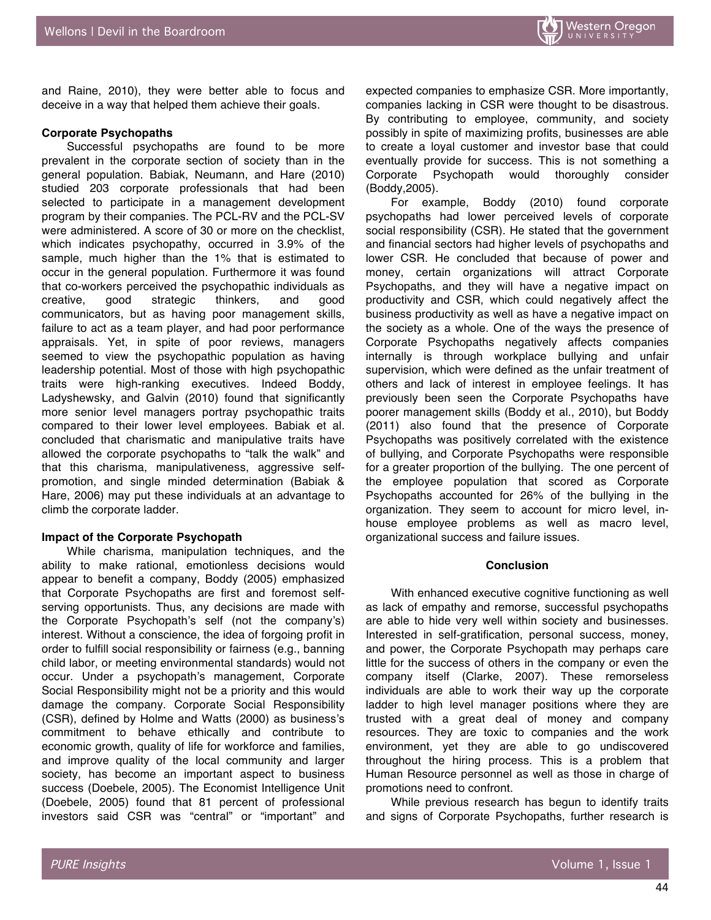and Raine, 2010), they were better able to focus and deceive in a way that helped them achieve their goals.

#### **Corporate Psychopaths**

Successful psychopaths are found to be more prevalent in the corporate section of society than in the general population. Babiak, Neumann, and Hare (2010) studied 203 corporate professionals that had been selected to participate in a management development program by their companies. The PCL-RV and the PCL-SV were administered. A score of 30 or more on the checklist, which indicates psychopathy, occurred in 3.9% of the sample, much higher than the 1% that is estimated to occur in the general population. Furthermore it was found that co-workers perceived the psychopathic individuals as creative, good strategic thinkers, and good communicators, but as having poor management skills, failure to act as a team player, and had poor performance appraisals. Yet, in spite of poor reviews, managers seemed to view the psychopathic population as having leadership potential. Most of those with high psychopathic traits were high-ranking executives. Indeed Boddy, Ladyshewsky, and Galvin (2010) found that significantly more senior level managers portray psychopathic traits compared to their lower level employees. Babiak et al. concluded that charismatic and manipulative traits have allowed the corporate psychopaths to "talk the walk" and that this charisma, manipulativeness, aggressive selfpromotion, and single minded determination (Babiak & Hare, 2006) may put these individuals at an advantage to climb the corporate ladder.

#### **Impact of the Corporate Psychopath**

While charisma, manipulation techniques, and the ability to make rational, emotionless decisions would appear to benefit a company, Boddy (2005) emphasized that Corporate Psychopaths are first and foremost selfserving opportunists. Thus, any decisions are made with the Corporate Psychopath's self (not the company's) interest. Without a conscience, the idea of forgoing profit in order to fulfill social responsibility or fairness (e.g., banning child labor, or meeting environmental standards) would not occur. Under a psychopath's management, Corporate Social Responsibility might not be a priority and this would damage the company. Corporate Social Responsibility (CSR), defined by Holme and Watts (2000) as business's commitment to behave ethically and contribute to economic growth, quality of life for workforce and families, and improve quality of the local community and larger society, has become an important aspect to business success (Doebele, 2005). The Economist Intelligence Unit (Doebele, 2005) found that 81 percent of professional investors said CSR was "central" or "important" and

expected companies to emphasize CSR. More importantly, companies lacking in CSR were thought to be disastrous. By contributing to employee, community, and society possibly in spite of maximizing profits, businesses are able to create a loyal customer and investor base that could eventually provide for success. This is not something a Corporate Psychopath would thoroughly consider (Boddy,2005).

For example, Boddy (2010) found corporate psychopaths had lower perceived levels of corporate social responsibility (CSR). He stated that the government and financial sectors had higher levels of psychopaths and lower CSR. He concluded that because of power and money, certain organizations will attract Corporate Psychopaths, and they will have a negative impact on productivity and CSR, which could negatively affect the business productivity as well as have a negative impact on the society as a whole. One of the ways the presence of Corporate Psychopaths negatively affects companies internally is through workplace bullying and unfair supervision, which were defined as the unfair treatment of others and lack of interest in employee feelings. It has previously been seen the Corporate Psychopaths have poorer management skills (Boddy et al., 2010), but Boddy (2011) also found that the presence of Corporate Psychopaths was positively correlated with the existence of bullying, and Corporate Psychopaths were responsible for a greater proportion of the bullying. The one percent of the employee population that scored as Corporate Psychopaths accounted for 26% of the bullying in the organization. They seem to account for micro level, inhouse employee problems as well as macro level, organizational success and failure issues.

#### **Conclusion**

With enhanced executive cognitive functioning as well as lack of empathy and remorse, successful psychopaths are able to hide very well within society and businesses. Interested in self-gratification, personal success, money, and power, the Corporate Psychopath may perhaps care little for the success of others in the company or even the company itself (Clarke, 2007). These remorseless individuals are able to work their way up the corporate ladder to high level manager positions where they are trusted with a great deal of money and company resources. They are toxic to companies and the work environment, yet they are able to go undiscovered throughout the hiring process. This is a problem that Human Resource personnel as well as those in charge of promotions need to confront.

While previous research has begun to identify traits and signs of Corporate Psychopaths, further research is